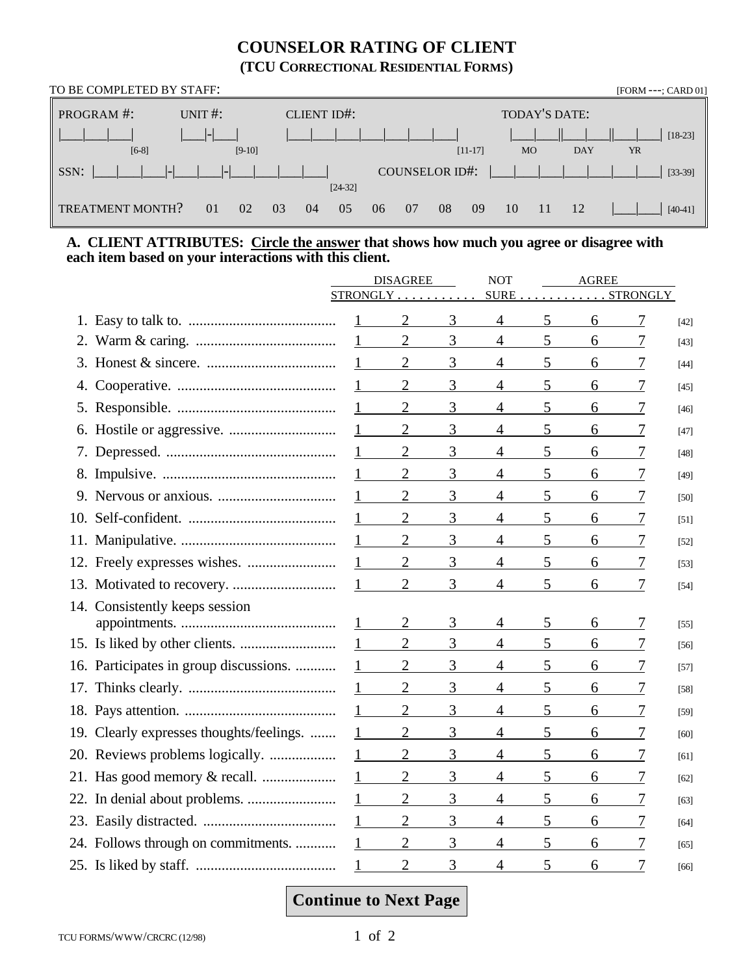## **COUNSELOR RATING OF CLIENT (TCU CORRECTIONAL RESIDENTIAL FORMS)**

| TO BE COMPLETED BY STAFF: |             |                    |                      |                  |           |  |  |  |  |
|---------------------------|-------------|--------------------|----------------------|------------------|-----------|--|--|--|--|
| PROGRAM #:                | UNIT $\#$ : | <b>CLIENT ID#:</b> |                      | TODAY'S DATE:    |           |  |  |  |  |
|                           |             |                    |                      |                  | $[18-23]$ |  |  |  |  |
| $[6-8]$                   | $[9-10]$    |                    | $[11-17]$            | <b>MO</b><br>DAY | <b>YR</b> |  |  |  |  |
| SSN:                      |             |                    | COUNSELOR ID#:       |                  | $[33-39]$ |  |  |  |  |
|                           |             | $[24-32]$          |                      |                  |           |  |  |  |  |
| TREATMENT MONTH?          | 01<br>02    | 03<br>04<br>05     | 08<br>09<br>07<br>06 | 10<br>12<br>-11  | $[40-41]$ |  |  |  |  |

## **A. CLIENT ATTRIBUTES: Circle the answer that shows how much you agree or disagree with each item based on your interactions with this client.**

|     |                                        | <b>DISAGREE</b> |                | <b>NOT</b>     | <b>AGREE</b>   |                 |   |   |        |
|-----|----------------------------------------|-----------------|----------------|----------------|----------------|-----------------|---|---|--------|
|     |                                        | STRONGLY.       |                |                | <b>SURE</b>    | <b>STRONGLY</b> |   |   |        |
|     |                                        |                 | $\overline{2}$ | 3              | 4              | 5               | 6 | 7 | $[42]$ |
|     |                                        |                 | $\overline{2}$ | 3              | $\overline{4}$ | 5               | 6 | 7 | $[43]$ |
|     |                                        |                 | $\overline{2}$ | 3              | $\overline{4}$ | 5               | 6 |   | $[44]$ |
|     |                                        |                 | $\overline{2}$ | 3              | $\overline{4}$ | 5               | 6 |   | $[45]$ |
|     |                                        |                 | $\overline{2}$ | $\overline{3}$ | $\overline{4}$ | 5               | 6 | 7 | $[46]$ |
|     |                                        |                 | $\mathbf{2}$   | 3              | $\overline{4}$ | 5               | 6 | 7 | $[47]$ |
|     |                                        |                 | $\overline{2}$ | 3              | $\overline{4}$ | 5               | 6 | 7 | $[48]$ |
|     |                                        |                 | $\overline{2}$ | 3              | $\overline{4}$ | 5               | 6 | 7 | [49]   |
|     |                                        |                 | $\overline{2}$ | 3              | $\overline{4}$ | 5               | 6 | 7 | [50]   |
|     |                                        |                 | $\overline{2}$ | 3              | $\overline{4}$ | 5               | 6 | 7 | [51]   |
|     |                                        |                 | $\overline{2}$ | 3              | $\overline{4}$ | 5               | 6 | 7 | $[52]$ |
|     |                                        |                 | $\overline{2}$ | 3              | $\overline{4}$ | 5               | 6 | 7 | $[53]$ |
|     |                                        |                 | $\overline{2}$ | 3              | $\overline{4}$ | 5               | 6 | 7 | $[54]$ |
|     | 14. Consistently keeps session         |                 |                |                |                |                 |   |   |        |
|     |                                        |                 |                | 3              | 4              | 5               | 6 |   | $[55]$ |
|     |                                        |                 | $\overline{2}$ | 3              | $\overline{4}$ | 5               | 6 |   | $[56]$ |
|     | 16. Participates in group discussions. |                 | $\overline{2}$ | 3              | $\overline{4}$ | 5               | 6 | 7 | $[57]$ |
|     |                                        |                 | $\overline{2}$ | 3              | $\overline{4}$ | 5               | 6 | 7 | $[58]$ |
|     |                                        |                 | $\overline{2}$ | 3              | $\overline{4}$ | 5               | 6 | 7 | [59]   |
| 19. | Clearly expresses thoughts/feelings.   |                 | $\overline{2}$ | 3              | $\overline{4}$ | 5               | 6 |   | [60]   |
|     |                                        |                 | $\overline{2}$ | 3              | $\overline{4}$ | 5               | 6 | 7 | [61]   |
|     |                                        |                 | $\overline{2}$ | 3              | $\overline{4}$ | 5               | 6 | 7 | [62]   |
|     | 22. In denial about problems.          |                 | $\mathbf{2}$   | 3              | $\overline{4}$ | 5               | 6 | 7 | [63]   |
|     |                                        | $\mathbf{1}$    | $\overline{2}$ | 3              | $\overline{4}$ | 5               | 6 | 7 | [64]   |
|     | 24. Follows through on commitments.    |                 | $\overline{2}$ | 3              | 4              | 5               | 6 | 7 | [65]   |
|     |                                        |                 | $\overline{2}$ | 3              | $\overline{4}$ | 5               | 6 | 7 | [66]   |

# **Continue to Next Page**